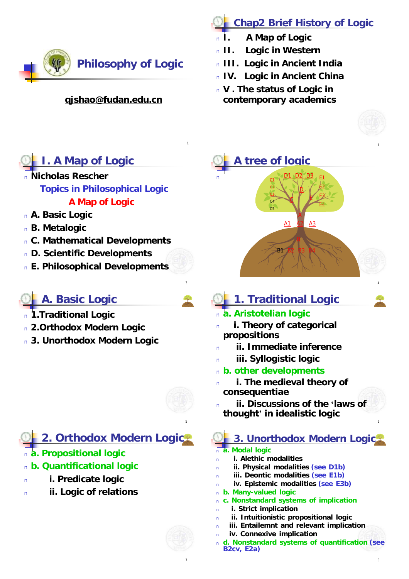

#### **[qjshao@fudan.edu.cn](mailto:qjshao@fudan.edu.cn)**

## **Chap2 Brief History of Logic**

- <sup>n</sup> **I. A Map of Logic**
- <sup>n</sup> **II. Logic in Western**
- <sup>n</sup> **III. Logic in Ancient India**
- <sup>n</sup> **IV. Logic in Ancient China**
- <sup>n</sup> **V . The status of Logic in contemporary academics**



<sup>n</sup> **Nicholas Rescher**  *Topics in Philosophical Logic* **A Map of Logic**

- <sup>n</sup> **A. Basic Logic**
- <sup>n</sup> **B. Metalogic**
- <sup>n</sup> **C. Mathematical Developments**
- <sup>n</sup> **D. Scientific Developments**
- <sup>n</sup> **E. Philosophical Developments**

# **A. Basic Logic**

- <sup>n</sup> **1.Traditional Logic**
- <sup>n</sup> **2.Orthodox Modern Logic**
- <sup>n</sup> **3. Unorthodox Modern Logic**



5

1

3

## **2. Orthodox Modern Logic**

- <sup>n</sup> **a. Propositional logic**
- <sup>n</sup> **b. Quantificational logic**
- <sup>n</sup> **i. Predicate logic**
- <sup>n</sup> **ii. Logic of relations**



7



**1. Traditional Logic**

#### <sup>n</sup> **a. Aristotelian logic**

- <sup>n</sup> **i. Theory of categorical propositions**
- <sup>n</sup> **ii. Immediate inference**
- <sup>n</sup> **iii. Syllogistic logic**
- <sup>n</sup> **b. other developments**
- <sup>n</sup> **i. The medieval theory of consequentiae**
- <sup>n</sup> **ii. Discussions of the 'laws of thought' in idealistic logic**

# **3. Unorthodox Modern Logic**

#### <sup>n</sup> **a. Modal logic**

- <sup>n</sup> **i. Alethic modalities**
- <sup>n</sup> **ii. Physical modalities (see D1b)**
- <sup>n</sup> **iii. Deontic modalities (see E1b)**
- <sup>n</sup> **iv. Epistemic modalities (see E3b)**
- <sup>n</sup> **b. Many-valued logic**
- <sup>n</sup> **c. Nonstandard systems of implication**
- <sup>n</sup> **i. Strict implication**
- <sup>n</sup> **ii. Intuitionistic propositional logic**
- <sup>n</sup> **iii. Entailemnt and relevant implication**
- **iv.** Connexive **implication**
- <sup>n</sup> **d. Nonstandard systems of quantification (see B2cv, E2a)**

6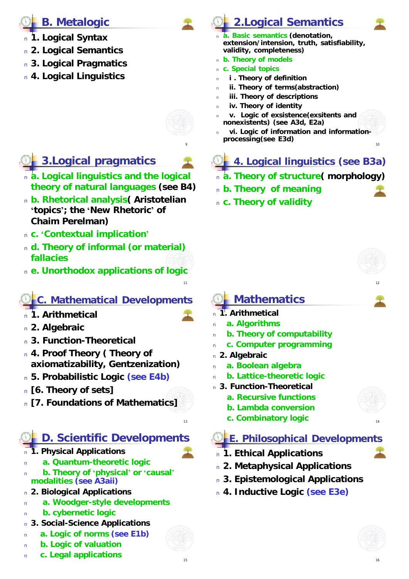## **B. Metalogic**

- <sup>n</sup> **1. Logical Syntax**
- <sup>n</sup> **2. Logical Semantics**
- <sup>n</sup> **3. Logical Pragmatics**
- <sup>n</sup> **4. Logical Linguistics**

## **3.Logical pragmatics**



- <sup>n</sup> **b. Rhetorical analysis( Aristotelian 'topics'; the 'New Rhetoric' of Chaim Perelman)**
- <sup>n</sup> **c. 'Contextual implication'**
- <sup>n</sup> **d. Theory of informal (or material) fallacies**
- <sup>n</sup> **e. Unorthodox applications of logic**

#### **C. Mathematical Developments**

- <sup>n</sup> **1. Arithmetical**
- <sup>n</sup> **2. Algebraic**
- <sup>n</sup> **3. Function-Theoretical**
- <sup>n</sup> **4. Proof Theory ( Theory of axiomatizability, Gentzenization)**
- <sup>n</sup> **5. Probabilistic Logic (see E4b)**
- <sup>n</sup> **[6. Theory of sets]**
- <sup>n</sup> **[7. Foundations of Mathematics]**

## **D. Scientific Developments**

- <sup>n</sup> **1. Physical Applications**
- <sup>n</sup> **a. Quantum-theoretic logic**
- <sup>n</sup> **b. Theory of 'physical' or 'causal' modalities (see A3aii)**
- <sup>n</sup> **2. Biological Applications**
- <sup>n</sup> **a. Woodger-style developments**
- <sup>n</sup> **b. cybernetic logic**
- <sup>n</sup> **3. Social-Science Applications**
- <sup>n</sup> **a. Logic of norms (see E1b)**
- <sup>n</sup> **b. Logic of valuation**
- <sup>n</sup> **c. Legal applications**

# **2.Logical Semantics**

- <sup>n</sup> **a. Basic semantics (denotation, extension/intension, truth, satisfiability, validity, completeness)**
- <sup>n</sup> **b. Theory of models**
- <sup>n</sup> **c. Special topics**

9

11

13

- <sup>n</sup> **i . Theory of definition**
- $i$ **ii.** Theory of terms(abstraction)
- <sup>n</sup> **iii. Theory of descriptions**
- <sup>n</sup> **iv. Theory of identity**
- <sup>n</sup> **v. Logic of exsistence(exsitents and nonexistents) (see A3d, E2a)**
- vi. Logic of information and information**processing(see E3d)**

# **4. Logical linguistics (see B3a)**

- <sup>n</sup> **a. Theory of structure( morphology)**
- <sup>n</sup> **b. Theory of meaning**
- <sup>n</sup> **c. Theory of validity**



12

14

10

## **Mathematics**

- <sup>n</sup> **1. Arithmetical**
- <sup>n</sup> **a. Algorithms**
- <sup>n</sup> **b. Theory of computability**
- <sup>n</sup> **c. Computer programming**
- <sup>n</sup> **2. Algebraic**
- <sup>n</sup> **a. Boolean algebra**
- <sup>n</sup> **b. Lattice-theoretic logic**
- <sup>n</sup> **3. Function-Theoretical**
	- **a. Recursive functions**
	- **b. Lambda conversion**
	- **c. Combinatory logic**

#### **E. Philosophical Developments**

- <sup>n</sup> **1. Ethical Applications**
- <sup>n</sup> **2. Metaphysical Applications**
- <sup>n</sup> **3. Epistemological Applications**
- <sup>n</sup> **4. Inductive Logic (see E3e)**



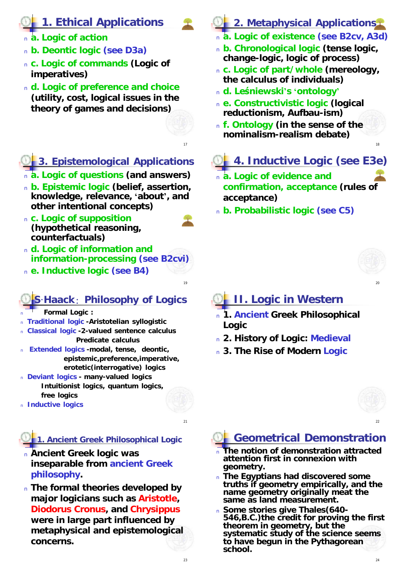## **1. Ethical Applications**

- <sup>n</sup> **a. Logic of action**
- <sup>n</sup> **b. Deontic logic (see D3a)**
- <sup>n</sup> **c. Logic of commands (Logic of imperatives)**
- <sup>n</sup> **d. Logic of preference and choice (utility, cost, logical issues in the theory of games and decisions)**

## **3. Epistemological Applications**

17

19

21

- <sup>n</sup> **a. Logic of questions (and answers)**
- <sup>n</sup> **b. Epistemic logic (belief, assertion, knowledge, relevance, 'about', and other intentional concepts)**
- <sup>n</sup> **c. Logic of supposition (hypothetical reasoning, counterfactuals)**
- <sup>n</sup> **d. Logic of information and information-processing (see B2cvi)**
- <sup>n</sup> **e. Inductive logic (see B4)**

#### **S·Haack**:**Philosophy of Logics**

- **Formal Logic:**
- <sup>n</sup> **Traditional logic -Aristotelian syllogistic**
- <sup>n</sup> **Classical logic -2-valued sentence calculus Predicate calculus**
- <sup>n</sup> **Extended logics -modal, tense, deontic, epistemic,preference,imperative, erotetic(interrogative) logics**
- <sup>n</sup> **Deviant logics - many-valued logics Intuitionist logics, quantum logics, free logics**
- <sup>n</sup> **Inductive logics**

#### **1. Ancient Greek Philosophical Logic**

- <sup>n</sup> **Ancient Greek logic was inseparable from ancient Greek philosophy.**
- <sup>n</sup> **The formal theories developed by major logicians such as Aristotle, Diodorus Cronus, and Chrysippus were in large part influenced by metaphysical and epistemological concerns.**
- **2. Metaphysical Applications**
	- <sup>n</sup> **a. Logic of existence (see B2cv, A3d)**
	- <sup>n</sup> **b. Chronological logic (tense logic, change-logic, logic of process)**
	- <sup>n</sup> **c. Logic of part/whole (mereology, the calculus of individuals)**
	- <sup>n</sup> **d. Leśniewski's 'ontology'**
	- <sup>n</sup> **e. Constructivistic logic (logical reductionism, Aufbau-ism)**
	- <sup>n</sup> **f. Ontology (in the sense of the nominalism-realism debate)**

# **4. Inductive Logic (see E3e)**

- <sup>n</sup> **a. Logic of evidence and confirmation, acceptance (rules of acceptance)**
- <sup>n</sup> **b. Probabilistic logic (see C5)**



20

18

# **II. Logic in Western**

- **1. Ancient Greek Philosophical Logic**
- <sup>n</sup> **2. History of Logic: Medieval**
- <sup>n</sup> **3. The Rise of Modern Logic**



22

# **Geometrical Demonstration**

- <sup>n</sup> **The notion of demonstration attracted attention first in connexion with geometry.**
- <sup>n</sup> **The Egyptians had discovered some truths if geometry empirically, and the name geometry originally meat the same as land measurement.**
- <sup>n</sup> **Some stories give Thales(640- 546,B.C.)the credit for proving the first theorem in geometry, but the systematic study of the science seems to have begun in the Pythagorean school.**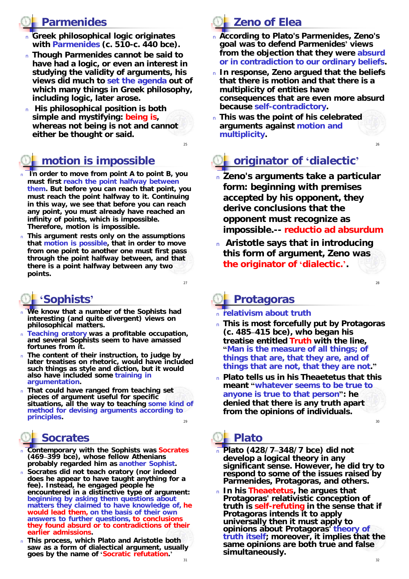#### **Parmenides**

- <sup>n</sup> **Greek philosophical logic originates with Parmenides (c. 510-c. 440 bce).**
- <sup>n</sup> **Though Parmenides cannot be said to have had a logic, or even an interest in studying the validity of arguments, his views did much to set the agenda out of which many things in Greek philosophy, including logic, later arose.**
- <sup>n</sup> **His philosophical position is both simple and mystifying: being is, whereas not being is not and cannot either be thought or said.**
- **motion is impossible**
- <sup>n</sup> **In order to move from point A to point B, you must first reach the point halfway between them. But before you can reach that point, you must reach the point halfway to it. Continuing in this way, we see that before you can reach any point, you must already have reached an infinity of points, which is impossible. Therefore, motion is impossible.**
- <sup>n</sup> **This argument rests only on the assumptions that motion is possible, that in order to move from one point to another one must first pass through the point halfway between, and that there is a point halfway between any two points.**

#### $27$

25

#### **'Sophists'**

- <sup>n</sup> **We know that a number of the Sophists had interesting (and quite divergent) views on philosophical matters.**
- <sup>n</sup> **Teaching oratory was a profitable occupation, and several Sophists seem to have amassed fortunes from it.**
- <sup>n</sup> **The content of their instruction, to judge by later treatises on rhetoric, would have included such things as style and diction, but it would also have included some training in argumentation.**
- $29$ <sup>n</sup> **That could have ranged from teaching set pieces of argument useful for specific situations, all the way to teaching some kind of method for devising arguments according to principles.**

## **Socrates**

- <sup>n</sup> **Contemporary with the Sophists was Socrates (469–399 bce), whose fellow Athenians probably regarded him as another Sophist.**
- <sup>n</sup> **Socrates did not teach oratory (nor indeed does he appear to have taught anything for a fee). Instead, he engaged people he encountered in a distinctive type of argument: beginning by asking them questions about matters they claimed to have knowledge of, he would lead them, on the basis of their own answers to further questions, to conclusions they found absurd or to contradictions of their earlier admissions.**
- <sup>n</sup> **This process, which Plato and Aristotle both saw as a form of dialectical argument, usually goes by the name of 'Socratic refutation.'**

# **Zeno of Elea**

- <sup>n</sup> **According to Plato's** *Parmenides***, Zeno's goal was to defend Parmenides' views from the objection that they were absurd or in contradiction to our ordinary beliefs.**
- <sup>n</sup> **In response, Zeno argued that the beliefs that there is motion and that there is a multiplicity of entities have consequences that are even more absurd because self-contradictory.**
- <sup>n</sup> **This was the point of his celebrated arguments against motion and multiplicity.**

## **originator of 'dialectic'**

- <sup>n</sup> **Zeno's arguments take a particular form: beginning with premises accepted by his opponent, they derive conclusions that the opponent must recognize as impossible.-- reductio** *ad* **absurdum**
- <sup>n</sup> **Aristotle says that in introducing this form of argument, Zeno was the originator of 'dialectic.'.**

#### **Protagoras**

#### <sup>n</sup> **relativism about truth**

- <sup>n</sup> **This is most forcefully put by Protagoras (c. 485–415 bce), who began his treatise entitled** *Truth* **with the line, "Man is the measure of all things; of things that are, that they are, and of things that are not, that they are not."**
- <sup>n</sup> **Plato tells us in his** *Theaetetus* **that this meant "whatever seems to be true to anyone is true to that person": he denied that there is any truth apart from the opinions of individuals.**

## **Plato**

- <sup>n</sup> **Plato (428/7–348/7 bce) did not develop a logical theory in any significant sense. However, he did try to respond to some of the issues raised by Parmenides, Protagoras, and others.**
- <sup>n</sup> **In his** *Theaetetus***, he argues that Protagoras' relativistic conception of truth is self-refuting in the sense that if Protagoras intends it to apply universally then it must apply to opinions about Protagoras' theory of truth itself; moreover, it implies that the same opinions are both true and false simultaneously.**

26

28

 $20$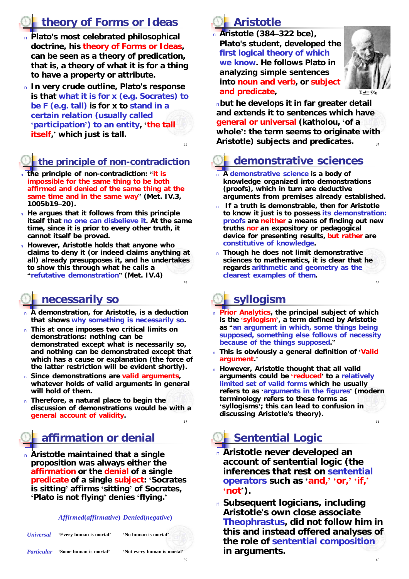#### **theory of Forms or Ideas**

- <sup>n</sup> **Plato's most celebrated philosophical doctrine, his theory of Forms or Ideas, can be seen as a theory of predication, that is, a theory of what it is for a thing to have a property or attribute.**
- <sup>n</sup> **In very crude outline, Plato's response is that what it is for x (e.g. Socrates) to be F (e.g. tall) is for x to stand in a certain relation (usually called 'participation') to an entity, 'the tall itself,' which just is tall.**

#### 33

#### **the principle of non-contradiction**

- <sup>n</sup> **the principle of non-contradiction: "it is impossible for the same thing to be both affirmed and denied of the same thing at the same time and in the same way" (***Met***. IV.3, 1005b19–20).**
- <sup>n</sup> **He argues that it follows from this principle itself that no one can disbelieve it. At the same time, since it is prior to every other truth, it cannot itself be proved.**
- <sup>n</sup> **However, Aristotle holds that anyone who claims to deny it (or indeed claims anything at all) already presupposes it, and he undertakes to show this through what he calls a "refutative demonstration" (***Met***. IV.4)**

35

#### **necessarily so**

- <sup>n</sup> **A demonstration, for Aristotle, is a deduction that shows why something is necessarily so.**
- <sup>n</sup> **This at once imposes two critical limits on demonstrations: nothing can be demonstrated except what is necessarily so, and nothing can be demonstrated except that which has a cause or explanation (the force of the latter restriction will be evident shortly).**
- <sup>n</sup> **Since demonstrations are valid arguments, whatever holds of valid arguments in general will hold of them.**
- $27$ <sup>n</sup> **Therefore, a natural place to begin the discussion of demonstrations would be with a general account of validity.**

## *affirmation* **or** *denial*

<sup>n</sup> **Aristotle maintained that a single proposition was always either the**  *affirmation* **or the** *denial* **of a single predicate of a single subject: 'Socrates is sitting' affirms 'sitting' of Socrates, 'Plato is not flying' denies 'flying.'**

#### *Affirmed***(***affirmative***)** *Denied***(***negative***)**

| <b>Universal</b> | 'Every human is mortal' | 'No human is mortal'        |
|------------------|-------------------------|-----------------------------|
| Particular       | 'Some human is mortal'  | 'Not every human is mortal' |
|                  |                         |                             |

# **Aristotle**

<sup>n</sup> **Aristotle (384–322 bce), Plato's student, developed the first logical theory of which we know. He follows Plato in analyzing simple sentences into noun and verb, or subject and predicate,** 



36

 $20$ 

34 <sup>n</sup>**but he develops it in far greater detail and extends it to sentences which have general or universal (***katholou***, 'of a whole': the term seems to originate with Aristotle) subjects and predicates.** 

# *demonstrative sciences*

- <sup>n</sup> **A demonstrative science is a body of knowledge organized into demonstrations (proofs), which in turn are deductive arguments from premises already established.**
- <sup>n</sup> **If a truth is demonstrable, then for Aristotle to know it just is to possess its demonstration: proofs are neither a means of finding out new truths nor an expository or pedagogical device for presenting results, but rather are constitutive of knowledge.**
- <sup>n</sup> **Though he does not limit demonstrative sciences to mathematics, it is clear that he regards arithmetic and geometry as the clearest examples of them.**

## **syllogism**

- <sup>n</sup> *Prior Analytics***, the principal subject of which is the 'syllogism', a term defined by Aristotle as "an argument in which, some things being supposed, something else follows of necessity because of the things supposed."**
- <sup>n</sup> **This is obviously a general definition of 'Valid argument.'**
- <sup>n</sup> **However, Aristotle thought that all valid arguments could be 'reduced' to a relatively limited set of valid forms which he usually refers to as 'arguments in the figures' (modern terminology refers to these forms as 'syllogisms'; this can lead to confusion in discussing Aristotle's theory).**

## **Sentential Logic**

- <sup>n</sup> **Aristotle never developed an account of sentential logic (the inferences that rest on sentential operators such as 'and,' 'or,' 'if,' 'not').**
- <sup>n</sup> **Subsequent logicians, including Aristotle's own close associate Theophrastus, did not follow him in this and instead offered analyses of the role of sentential composition in arguments.**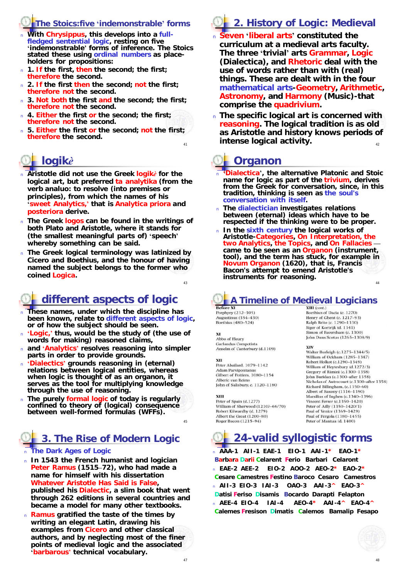#### **The Stoics:five 'indemonstrable' forms**

- <sup>n</sup> **With Chrysippus, this develops into a fullfledged sentential logic, resting on five 'indemonstrable' forms of inference. The Stoics stated these using ordinal numbers as placeholders for propositions:**
- <sup>n</sup> **1. If the first, then the second; the first; therefore the second.**
- <sup>n</sup> **2. If the first then the second; not the first; therefore not the second.**
- <sup>n</sup> **3. Not both the first and the second; the first; therefore not the second.**
- <sup>n</sup> **4. Either the first or the second; the first; therefore not the second.**
- 41 <sup>n</sup> **5. Either the first or the second; not the first; therefore the second.**

## *logikè*

- <sup>n</sup> **Aristotle did not use the Greek** *logikè* **for the logical art, but preferred** *ta analytika* **(from the verb** *analuo***: to resolve (into premises or principles), from which the names of his 'sweet Analytics,' that is** *Analytica priora and posteriora* **derive.**
- <sup>n</sup> **The Greek** *logos* **can be found in the writings of both Plato and Aristotle, where it stands for (the smallest meaningful parts of) 'speech' whereby something can be said.**
- <sup>n</sup> **The Greek logical terminology was latinized by Cicero and Boethius, and the honour of having named the subject belongs to the former who coined** *Logica***.**

#### 43

45

## **different aspects of logic**

- <sup>n</sup> **These names, under which the discipline has been known, relate to different aspects of logic, or of how the subject should be seen.**
- <sup>n</sup> **'Logic,' thus, would be the study of (the use of words for making) reasoned claims,**
- <sup>n</sup> **and 'Analytics' resolves reasoning into simpler parts in order to provide grounds.**
- <sup>n</sup> **'Dialectics' grounds reasoning in (eternal) relations between logical entities, whereas when logic is thought of as an organon, it serves as the tool for multiplying knowledge through the use of reasoning.**
- <sup>n</sup> **The purely** *formal* **logic of today is regularly confined to theory of (logical) consequence between well-formed formulas (WFFs).**

#### **3. The Rise of Modern Logic**

- <sup>n</sup> **The Dark Ages of Logic**
- <sup>n</sup> **In 1543 the French humanist and logician Peter Ramus (1515–72), who had made a name for himself with his dissertation**  *Whatever Aristotle Has Said is False***, published his** *Dialectic***, a slim book that went through 262 editions in several countries and became a model for many other textbooks.**
- <sup>n</sup> **Ramus gratified the taste of the times by writing an elegant Latin, drawing his examples from Cicero and other classical authors, and by neglecting most of the finer points of medieval logic and the associated 'barbarous' technical vocabulary.**

# **2. History of Logic: Medieval**

- <sup>n</sup> **Seven 'liberal arts' constituted the curriculum at a medieval arts faculty. The three 'trivial' arts Grammar, Logic (***Dialectica***), and Rhetoric deal with the use of words rather than with (real) things. These are dealt with in the four mathematical arts-Geometry, Arithmetic, Astronomy, and Harmony (Music)-that comprise the** *quadrivium***.**
- 42 <sup>n</sup> **The specific logical art is concerned with**  *reasoning***. The logical tradition is as old as Aristotle and history knows periods of intense logical activity.**

#### *Organon*

- <sup>n</sup> **'Dialectica', the alternative Platonic and Stoic name for logic as part of the** *trivium***, derives from the Greek for conversation, since, in this tradition, thinking is seen as the soul's conversation with itself.**
- <sup>n</sup> **The dialectician investigates relations between (eternal) ideas which have to be respected if the thinking were to be proper.**
- 44 <sup>n</sup> **In the sixth century the logical works of Aristotle-***Categories, On Interpretation***, the two** *Analytics***, the** *Topics***, and** *On Fallacies*  **came to be seen as an** *Organon* **(instrument, tool), and the term has stuck, for example in**  *Novum Organon* **(1620), that is, Francis Bacon's attempt to emend Aristotle's instruments for reasoning.**

# **A Timeline of Medieval Logicians**

Porphyry (232-305) Augustinus (354-430) Boethius (480-524)

Abbo of Fleury Garlandus Compotista Anselm of Canterbury (d.1109)

**YII** Peter Abailard, 1079-1142 Adam Parvipontanus Gilbert of Poitiers, 1080-1154 Alberic van Reims John of Salisbury, c. 1120-1180

#### XIII

Peter of Spain (d.1277) William of Sherwood (1210?-66/70)<br>Robert Kilwardby (d. 1279) Albert the Great (1200-80) Roger Bacon (1215-94)

Boethius of Dacia (c. 1270) Henry of Ghent (c. 1217-93) Ralph Brito (c. 1290-1330) Siger of Kortrijk (d. 1341) Simon of Faversham (c. 1300) John Duns Scotus (1265-1308/9)

#### **YIV**

Walter Burleigh (c.1275–1344/5) William of Ockham (1285-1347) Robert Holkot (c.1290-1349) William of Heytesbury (d.1272/3) Gregory of Rimini (c.1300–1358) John Buridan (c.1300–after 1358) Nicholas of Autrecourt (c.1300-after 1358) Richard Billingham, (c.1350-60) Albert of Saxony (1316-1390)  $\begin{array}{c} \text{Marsilius of Inghen (c.1340--1396)} \\ \text{ Vincent Ferrer (c.1350--1420)} \end{array}$ Peter of Ailly (1350-1420/1) Paul of Venice (1369-1429) Paul of Pergola (1380-1455) Peter of Mantua (d. 1400)

## **24-valid syllogistic forms**

<sup>n</sup> **AAA-1 AII-1 EAE-1 EIO-1 AAI-1\* EAO-1\* Barbara Darii Celarent Ferio Barbari Celaront** <sup>n</sup> **EAE-2 AEE-2 EIO-2 AOO-2 AEO-2\* EAO-2\* Cesare Camestres Festino Baroco Cesaro Camestros** <sup>n</sup> **AII-3 EIO-3 IAI-3 OAO-3 AAI-3^ EAO-3^ Datisi Feriso Disamis Bocardo Darapti Felapton** <sup>n</sup> **AEE-4 EIO-4 IAI-4 AEO-4\* AAI-4^ EAO-4^ Calemes Fresison Dimatis Calemos Bamalip Fesapo**

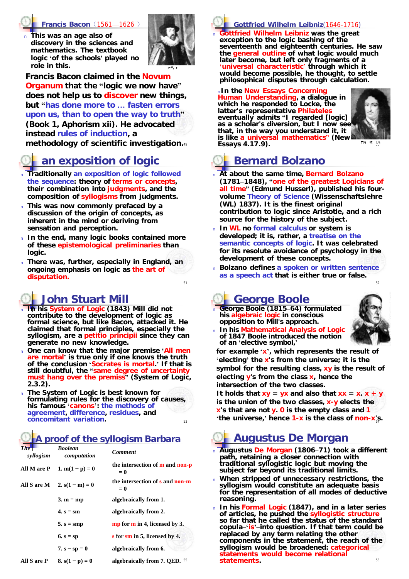#### **Francis Bacon**(1561—1626 )

<sup>n</sup> **This was an age also of discovery in the sciences and mathematics. The textbook logic 'of the schools' played no role in this.** 



**methodology** of scientific investigation.<sup>49</sup> Essays 4.17.9). **Francis Bacon claimed in the** *Novum Organum* **that the "logic we now have" does not help us to** *discover* **new things, but "has done more to … fasten errors upon us, than to open the way to truth" (Book 1, Aphorism xii). He advocated instead rules of induction, a** 

#### **an exposition of logic**

- <sup>n</sup> **Traditionally an exposition of logic followed the sequence: theory of terms or concepts, their combination into judgments, and the composition of syllogisms from judgments.**
- <sup>n</sup> **This was now commonly prefaced by a discussion of the origin of concepts, as inherent in the mind or deriving from sensation and perception.**
- <sup>n</sup> **In the end, many logic books contained more of these epistemological preliminaries than logic.**
- <sup>n</sup> **There was, further, especially in England, an ongoing emphasis on logic as the art of disputation.**

51

#### **John Stuart Mill**

- <sup>n</sup> **In his** *System of Logic* **(1843) Mill did not contribute to the development of logic as formal science, but like Bacon, attacked it. He claimed that formal principles, especially the syllogism, are a** *petitio principii* **since they can generate no new knowledge.**
- <sup>n</sup> **One can know that the major premise 'All men are mortal' is true only if one knows the truth of the conclusion 'Socrates is mortal.' If that is still doubtful, the "same degree of uncertainty must hang over the premiss" (***System of Logic***, 2.3.2).**
- 53 <sup>n</sup> **The** *System of Logic* **is best known for formulating rules for the discovery of causes, his famous 'canons': the methods of agreement, difference, residues, and concomitant** variation. **Example 20** is the **universe,** 'the **universe,** ' **hence 1-x** is the class of non-x'<sub>s</sub>.

#### **A proof of the syllogism** *Barbara*

| $The \top$<br>syllogism | <b>Boolean</b><br>computation | <b>Comment</b>                                         | n Augustus De Morgan (1806–71) took a differe<br>path, retaining a closer connection with                                                          |
|-------------------------|-------------------------------|--------------------------------------------------------|----------------------------------------------------------------------------------------------------------------------------------------------------|
|                         | All M are P 1. m(1 – p) = 0   | the intersection of <b>m</b> and <b>non-p</b><br>$= 0$ | traditional syllogistic logic but moving the<br>subject far beyond its traditional limits.                                                         |
| <b>All S are M</b>      | 2. $s(1 - m) = 0$             | the intersection of s and non-m<br>$= 0$               | n When stripped of unnecessary restrictions, the<br>syllogism would constitute an adequate basis<br>for the representation of all modes of deducti |
|                         | $3. m = mp$                   | algebraically from 1.                                  | reasoning.                                                                                                                                         |
|                         | 4. $s = sm$                   | algebraically from 2.                                  | n In his <i>Formal Logic</i> (1847), and in a later serie<br>of articles, he pushed the syllogistic structure                                      |
|                         | $5. s = smp$                  | $mp$ for $m$ in 4, licensed by 3.                      | so far that he called the status of the standard<br>copula-'is'-into question. If that term could b                                                |
|                         | 6. $s = sp$                   | s for sm in 5, licensed by 4.                          | replaced by any term relating the other<br>components in the statement, the reach of the                                                           |
|                         | 7. $s - sp = 0$               | algebraically from 6.                                  | syllogism would be broadened: categorical<br>statements would become relational                                                                    |
| All S are P             | 8. $s(1-p) = 0$               | algebraically from 7. OED. 55                          | 56<br>statements.                                                                                                                                  |



<sup>n</sup> **Gottfried Wilhelm Leibniz was the great exception to the logic bashing of the seventeenth and eighteenth centuries. He saw the general outline of what logic would much later become, but left only fragments of a 'universal characteristic' through which it would become possible, he thought, to settle philosophical disputes through calculation.** 

<sup>n</sup>**In the** *New Essays Concerning Human Understanding***, a dialogue in which he responded to Locke, the latter's representative Philate eventually admits "I regarded [logic] as a scholar's diversion, but I now see that, in the way you understand it, it is like a universal mathematics" (***New Essays* **4.17.9).**



## **Bernard Bolzano**

- <sup>n</sup> **At about the same time, Bernard Bolzano (1781–1848), "one of the greatest Logicians of all time" (Edmund Husserl), published his fourvolume** *Theory of Science* **(***Wissenschaftslehre* **(WL) 1837). It is the finest original contribution to logic since Aristotle, and a rich source for the history of the subject.**
- <sup>n</sup> **In WL no formal calculus or system is developed; it is, rather, a treatise on the semantic concepts of logic. It was celebrated for its resolute avoidance of psychology in the development of these concepts.**
- <sup>n</sup> **Bolzano defines a spoken or written sentence as a speech act that is either true or false.**

#### **George Boole**

<sup>n</sup> **George Boole (1815–64) formulated his algebraic logic in conscious opposition to Mill's approach.** 



52

<sup>n</sup> **In his** *Mathematical Analysis of Logic* **of 1847 Boole introduced the notion of an 'elective symbol,'**

**for example 'x', which represents the result of 'electing' the x's from the universe; it is the symbol for the resulting class, xy is the result of electing y's from the class x, hence the intersection of the two classes.**

**It** holds that  $xy = yx$  and also that  $xx = x$ .  $x + y$ **is the union of the two classes, x-y elects the x's that are not y. 0 is the empty class and 1**

## **Augustus De Morgan**

- <sup>n</sup> **Augustus De Morgan (1806–71) took a different path, retaining a closer connection with traditional syllogistic logic but moving the subject far beyond its traditional limits.**
- <sup>n</sup> **When stripped of unnecessary restrictions, the syllogism would constitute an adequate basis for the representation of all modes of deductive reasoning.**
- <sup>n</sup> **In his** *Formal Logic* **(1847), and in a later series of articles, he pushed the syllogistic structure so far that he called the status of the standard copula–'is'–into question. If that term could be replaced by any term relating the other components in the statement, the reach of the syllogism would be broadened: categorical statements would become relational**